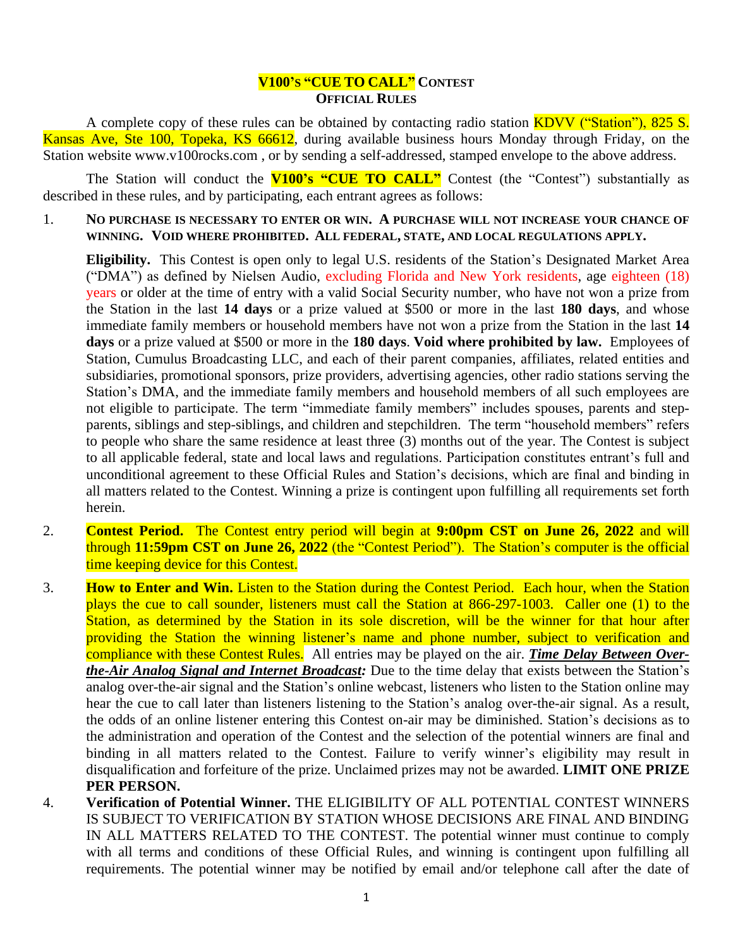## **V100'S "CUE TO CALL" CONTEST OFFICIAL RULES**

A complete copy of these rules can be obtained by contacting radio station KDVV ("Station"), 825 S. Kansas Ave, Ste 100, Topeka, KS 66612, during available business hours Monday through Friday, on the Station website www.v100rocks.com , or by sending a self-addressed, stamped envelope to the above address.

The Station will conduct the **V100's "CUE TO CALL"** Contest (the "Contest") substantially as described in these rules, and by participating, each entrant agrees as follows:

1. **NO PURCHASE IS NECESSARY TO ENTER OR WIN. A PURCHASE WILL NOT INCREASE YOUR CHANCE OF WINNING. VOID WHERE PROHIBITED. ALL FEDERAL, STATE, AND LOCAL REGULATIONS APPLY.**

**Eligibility.** This Contest is open only to legal U.S. residents of the Station's Designated Market Area ("DMA") as defined by Nielsen Audio, excluding Florida and New York residents, age eighteen (18) years or older at the time of entry with a valid Social Security number, who have not won a prize from the Station in the last **14 days** or a prize valued at \$500 or more in the last **180 days**, and whose immediate family members or household members have not won a prize from the Station in the last **14 days** or a prize valued at \$500 or more in the **180 days**. **Void where prohibited by law.** Employees of Station, Cumulus Broadcasting LLC, and each of their parent companies, affiliates, related entities and subsidiaries, promotional sponsors, prize providers, advertising agencies, other radio stations serving the Station's DMA, and the immediate family members and household members of all such employees are not eligible to participate. The term "immediate family members" includes spouses, parents and stepparents, siblings and step-siblings, and children and stepchildren. The term "household members" refers to people who share the same residence at least three (3) months out of the year. The Contest is subject to all applicable federal, state and local laws and regulations. Participation constitutes entrant's full and unconditional agreement to these Official Rules and Station's decisions, which are final and binding in all matters related to the Contest. Winning a prize is contingent upon fulfilling all requirements set forth herein.

- 2. **Contest Period.** The Contest entry period will begin at **9:00pm CST on June 26, 2022** and will through **11:59pm CST on June 26, 2022** (the "Contest Period"). The Station's computer is the official time keeping device for this Contest.
- 3. **How to Enter and Win.** Listen to the Station during the Contest Period. Each hour, when the Station plays the cue to call sounder, listeners must call the Station at 866-297-1003. Caller one (1) to the Station, as determined by the Station in its sole discretion, will be the winner for that hour after providing the Station the winning listener's name and phone number, subject to verification and compliance with these Contest Rules. All entries may be played on the air. *Time Delay Between Overthe-Air Analog Signal and Internet Broadcast:* Due to the time delay that exists between the Station's analog over-the-air signal and the Station's online webcast, listeners who listen to the Station online may hear the cue to call later than listeners listening to the Station's analog over-the-air signal. As a result, the odds of an online listener entering this Contest on-air may be diminished. Station's decisions as to the administration and operation of the Contest and the selection of the potential winners are final and binding in all matters related to the Contest. Failure to verify winner's eligibility may result in disqualification and forfeiture of the prize. Unclaimed prizes may not be awarded. **LIMIT ONE PRIZE PER PERSON.**
- 4. **Verification of Potential Winner.** THE ELIGIBILITY OF ALL POTENTIAL CONTEST WINNERS IS SUBJECT TO VERIFICATION BY STATION WHOSE DECISIONS ARE FINAL AND BINDING IN ALL MATTERS RELATED TO THE CONTEST. The potential winner must continue to comply with all terms and conditions of these Official Rules, and winning is contingent upon fulfilling all requirements. The potential winner may be notified by email and/or telephone call after the date of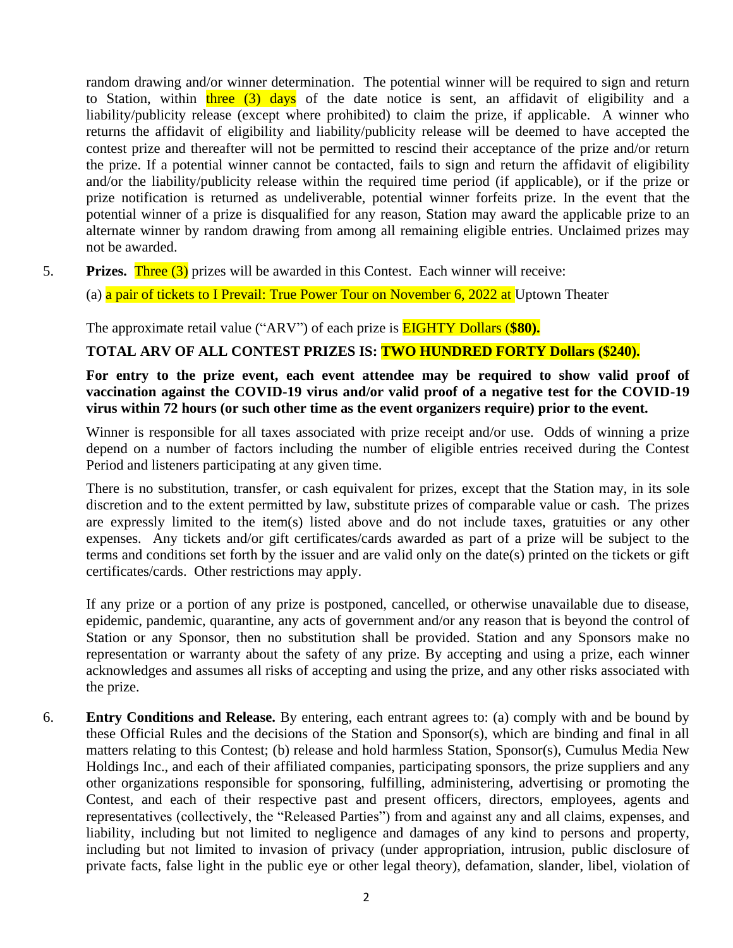random drawing and/or winner determination. The potential winner will be required to sign and return to Station, within three  $(3)$  days of the date notice is sent, an affidavit of eligibility and a liability/publicity release (except where prohibited) to claim the prize, if applicable. A winner who returns the affidavit of eligibility and liability/publicity release will be deemed to have accepted the contest prize and thereafter will not be permitted to rescind their acceptance of the prize and/or return the prize. If a potential winner cannot be contacted, fails to sign and return the affidavit of eligibility and/or the liability/publicity release within the required time period (if applicable), or if the prize or prize notification is returned as undeliverable, potential winner forfeits prize. In the event that the potential winner of a prize is disqualified for any reason, Station may award the applicable prize to an alternate winner by random drawing from among all remaining eligible entries. Unclaimed prizes may not be awarded.

5. **Prizes.** Three (3) prizes will be awarded in this Contest. Each winner will receive:

(a) a pair of tickets to I Prevail: True Power Tour on November 6, 2022 at Uptown Theater

The approximate retail value ("ARV") of each prize is EIGHTY Dollars (**\$80).** 

## **TOTAL ARV OF ALL CONTEST PRIZES IS: TWO HUNDRED FORTY Dollars (\$240).**

**For entry to the prize event, each event attendee may be required to show valid proof of vaccination against the COVID-19 virus and/or valid proof of a negative test for the COVID-19 virus within 72 hours (or such other time as the event organizers require) prior to the event.**

Winner is responsible for all taxes associated with prize receipt and/or use. Odds of winning a prize depend on a number of factors including the number of eligible entries received during the Contest Period and listeners participating at any given time.

There is no substitution, transfer, or cash equivalent for prizes, except that the Station may, in its sole discretion and to the extent permitted by law, substitute prizes of comparable value or cash. The prizes are expressly limited to the item(s) listed above and do not include taxes, gratuities or any other expenses. Any tickets and/or gift certificates/cards awarded as part of a prize will be subject to the terms and conditions set forth by the issuer and are valid only on the date(s) printed on the tickets or gift certificates/cards. Other restrictions may apply.

If any prize or a portion of any prize is postponed, cancelled, or otherwise unavailable due to disease, epidemic, pandemic, quarantine, any acts of government and/or any reason that is beyond the control of Station or any Sponsor, then no substitution shall be provided. Station and any Sponsors make no representation or warranty about the safety of any prize. By accepting and using a prize, each winner acknowledges and assumes all risks of accepting and using the prize, and any other risks associated with the prize.

6. **Entry Conditions and Release.** By entering, each entrant agrees to: (a) comply with and be bound by these Official Rules and the decisions of the Station and Sponsor(s), which are binding and final in all matters relating to this Contest; (b) release and hold harmless Station, Sponsor(s), Cumulus Media New Holdings Inc., and each of their affiliated companies, participating sponsors, the prize suppliers and any other organizations responsible for sponsoring, fulfilling, administering, advertising or promoting the Contest, and each of their respective past and present officers, directors, employees, agents and representatives (collectively, the "Released Parties") from and against any and all claims, expenses, and liability, including but not limited to negligence and damages of any kind to persons and property, including but not limited to invasion of privacy (under appropriation, intrusion, public disclosure of private facts, false light in the public eye or other legal theory), defamation, slander, libel, violation of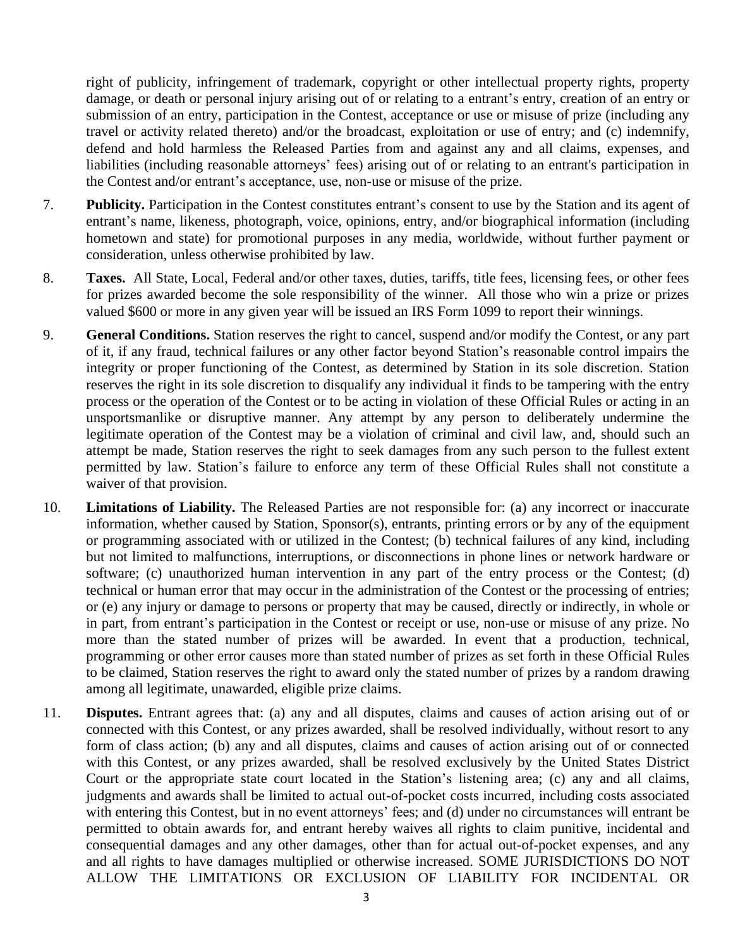right of publicity, infringement of trademark, copyright or other intellectual property rights, property damage, or death or personal injury arising out of or relating to a entrant's entry, creation of an entry or submission of an entry, participation in the Contest, acceptance or use or misuse of prize (including any travel or activity related thereto) and/or the broadcast, exploitation or use of entry; and (c) indemnify, defend and hold harmless the Released Parties from and against any and all claims, expenses, and liabilities (including reasonable attorneys' fees) arising out of or relating to an entrant's participation in the Contest and/or entrant's acceptance, use, non-use or misuse of the prize.

- 7. **Publicity.** Participation in the Contest constitutes entrant's consent to use by the Station and its agent of entrant's name, likeness, photograph, voice, opinions, entry, and/or biographical information (including hometown and state) for promotional purposes in any media, worldwide, without further payment or consideration, unless otherwise prohibited by law.
- 8. **Taxes.** All State, Local, Federal and/or other taxes, duties, tariffs, title fees, licensing fees, or other fees for prizes awarded become the sole responsibility of the winner. All those who win a prize or prizes valued \$600 or more in any given year will be issued an IRS Form 1099 to report their winnings.
- 9. **General Conditions.** Station reserves the right to cancel, suspend and/or modify the Contest, or any part of it, if any fraud, technical failures or any other factor beyond Station's reasonable control impairs the integrity or proper functioning of the Contest, as determined by Station in its sole discretion. Station reserves the right in its sole discretion to disqualify any individual it finds to be tampering with the entry process or the operation of the Contest or to be acting in violation of these Official Rules or acting in an unsportsmanlike or disruptive manner. Any attempt by any person to deliberately undermine the legitimate operation of the Contest may be a violation of criminal and civil law, and, should such an attempt be made, Station reserves the right to seek damages from any such person to the fullest extent permitted by law. Station's failure to enforce any term of these Official Rules shall not constitute a waiver of that provision.
- 10. **Limitations of Liability.** The Released Parties are not responsible for: (a) any incorrect or inaccurate information, whether caused by Station, Sponsor(s), entrants, printing errors or by any of the equipment or programming associated with or utilized in the Contest; (b) technical failures of any kind, including but not limited to malfunctions, interruptions, or disconnections in phone lines or network hardware or software; (c) unauthorized human intervention in any part of the entry process or the Contest; (d) technical or human error that may occur in the administration of the Contest or the processing of entries; or (e) any injury or damage to persons or property that may be caused, directly or indirectly, in whole or in part, from entrant's participation in the Contest or receipt or use, non-use or misuse of any prize. No more than the stated number of prizes will be awarded. In event that a production, technical, programming or other error causes more than stated number of prizes as set forth in these Official Rules to be claimed, Station reserves the right to award only the stated number of prizes by a random drawing among all legitimate, unawarded, eligible prize claims.
- 11. **Disputes.** Entrant agrees that: (a) any and all disputes, claims and causes of action arising out of or connected with this Contest, or any prizes awarded, shall be resolved individually, without resort to any form of class action; (b) any and all disputes, claims and causes of action arising out of or connected with this Contest, or any prizes awarded, shall be resolved exclusively by the United States District Court or the appropriate state court located in the Station's listening area; (c) any and all claims, judgments and awards shall be limited to actual out-of-pocket costs incurred, including costs associated with entering this Contest, but in no event attorneys' fees; and (d) under no circumstances will entrant be permitted to obtain awards for, and entrant hereby waives all rights to claim punitive, incidental and consequential damages and any other damages, other than for actual out-of-pocket expenses, and any and all rights to have damages multiplied or otherwise increased. SOME JURISDICTIONS DO NOT ALLOW THE LIMITATIONS OR EXCLUSION OF LIABILITY FOR INCIDENTAL OR